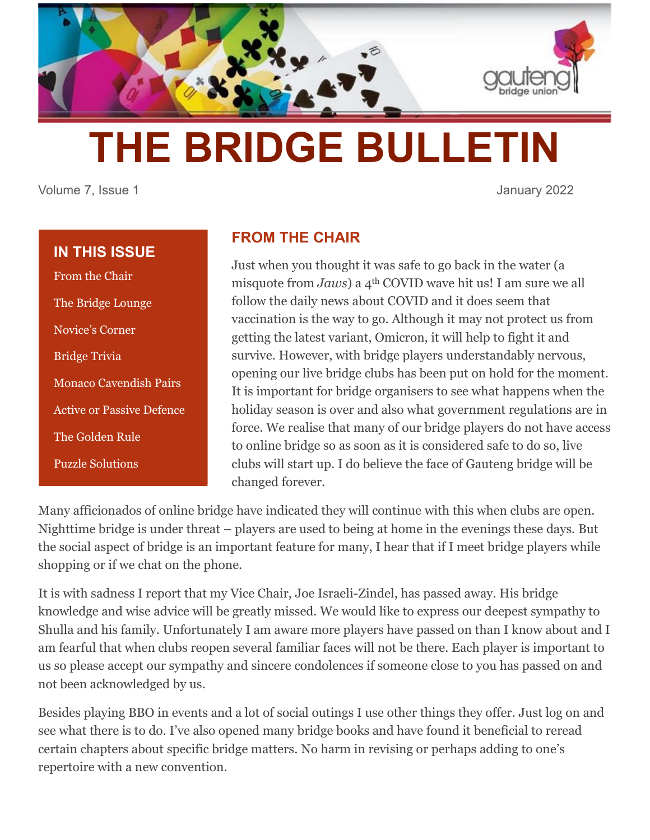

# **THE BRIDGE BULLETIN**

Volume 7, Issue 1 January 2022

## **IN THIS ISSUE**

From the Chair The Bridge Lounge Novice's Corner Bridge Trivia Monaco Cavendish Pairs Active or Passive Defence The Golden Rule Puzzle Solutions

# **FROM THE CHAIR**

Just when you thought it was safe to go back in the water (a misquote from *Jaws*) a 4th COVID wave hit us! I am sure we all follow the daily news about COVID and it does seem that vaccination is the way to go. Although it may not protect us from getting the latest variant, Omicron, it will help to fight it and survive. However, with bridge players understandably nervous, opening our live bridge clubs has been put on hold for the moment. It is important for bridge organisers to see what happens when the holiday season is over and also what government regulations are in force. We realise that many of our bridge players do not have access to online bridge so as soon as it is considered safe to do so, live clubs will start up. I do believe the face of Gauteng bridge will be changed forever.

Many afficionados of online bridge have indicated they will continue with this when clubs are open. Nighttime bridge is under threat – players are used to being at home in the evenings these days. But the social aspect of bridge is an important feature for many, I hear that if I meet bridge players while shopping or if we chat on the phone.

It is with sadness I report that my Vice Chair, Joe Israeli-Zindel, has passed away. His bridge knowledge and wise advice will be greatly missed. We would like to express our deepest sympathy to Shulla and his family. Unfortunately I am aware more players have passed on than I know about and I am fearful that when clubs reopen several familiar faces will not be there. Each player is important to us so please accept our sympathy and sincere condolences if someone close to you has passed on and not been acknowledged by us.

Besides playing BBO in events and a lot of social outings I use other things they offer. Just log on and see what there is to do. I've also opened many bridge books and have found it beneficial to reread certain chapters about specific bridge matters. No harm in revising or perhaps adding to one's repertoire with a new convention.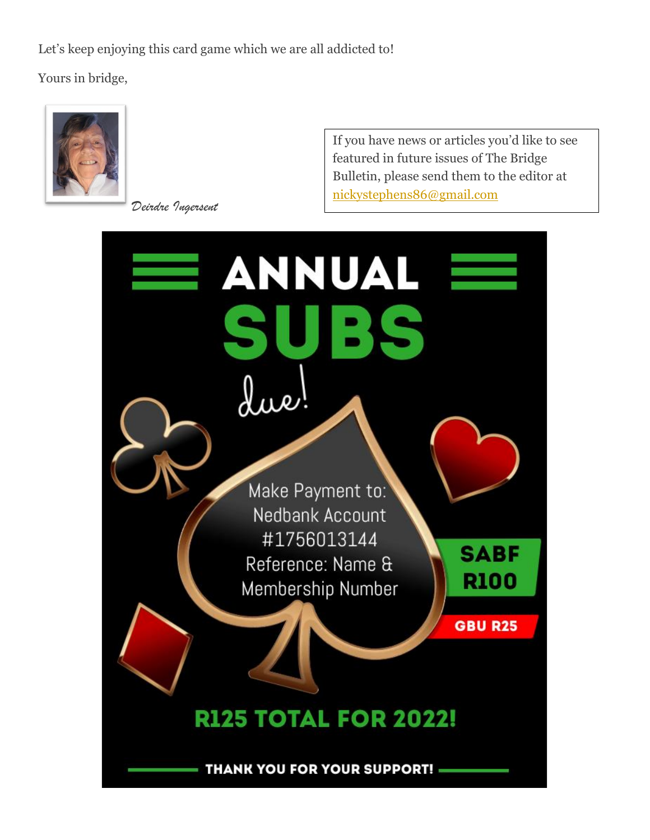Let's keep enjoying this card game which we are all addicted to!

Yours in bridge,



*Deirdre Ingersent*

If you have news or articles you'd like to see featured in future issues of The Bridge Bulletin, please send them to the editor at [nickystephens86@gmail.com](mailto:nickystephens86@gmail.com)

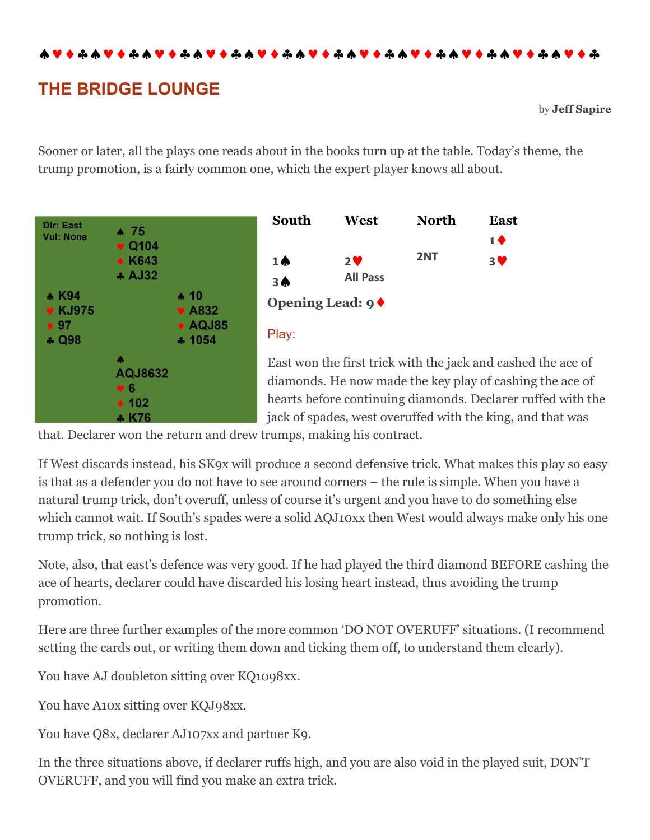\*\*\*\*\*\*\*\*\*\*\*\*\*\*\*\*\*\*

# **THE BRIDGE LOUNGE**

by **Jeff Sapire**

Sooner or later, all the plays one reads about in the books turn up at the table. Today's theme, the trump promotion, is a fairly common one, which the expert player knows all about.





East won the first trick with the jack and cashed the ace of diamonds. He now made the key play of cashing the ace of hearts before continuing diamonds. Declarer ruffed with the jack of spades, west overuffed with the king, and that was

that. Declarer won the return and drew trumps, making his contract.

If West discards instead, his SK9x will produce a second defensive trick. What makes this play so easy is that as a defender you do not have to see around corners – the rule is simple. When you have a natural trump trick, don't overuff, unless of course it's urgent and you have to do something else which cannot wait. If South's spades were a solid AQJ10xx then West would always make only his one trump trick, so nothing is lost.

Note, also, that east's defence was very good. If he had played the third diamond BEFORE cashing the ace of hearts, declarer could have discarded his losing heart instead, thus avoiding the trump promotion.

Here are three further examples of the more common 'DO NOT OVERUFF' situations. (I recommend setting the cards out, or writing them down and ticking them off, to understand them clearly).

You have AJ doubleton sitting over KQ1098xx.

You have A10x sitting over KQJ98xx.

You have Q8x, declarer AJ107xx and partner K9.

In the three situations above, if declarer ruffs high, and you are also void in the played suit, DON'T OVERUFF, and you will find you make an extra trick.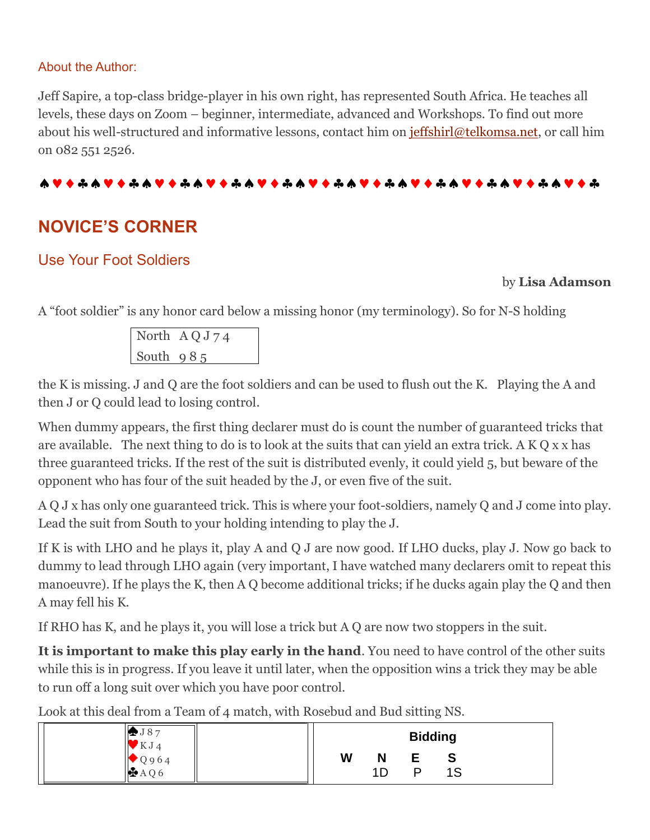#### About the Author:

Jeff Sapire, a top-class bridge-player in his own right, has represented South Africa. He teaches all levels, these days on Zoom – beginner, intermediate, advanced and Workshops. To find out more about his well-structured and informative lessons, contact him on [jeffshirl@telkomsa.net,](mailto:jeffshirl@telkomsa.net) or call him on 082 551 2526.

#### **ለV + + + V + + + V + + + V + + + V + + + V + + + + V + + + + V + + + + V + + + +**

# **NOVICE'S CORNER**

## Use Your Foot Soldiers

#### by **Lisa Adamson**

A "foot soldier" is any honor card below a missing honor (my terminology). So for N-S holding

North A Q J 7 4 South 9 8 5

the K is missing. J and Q are the foot soldiers and can be used to flush out the K. Playing the A and then J or Q could lead to losing control.

When dummy appears, the first thing declarer must do is count the number of guaranteed tricks that are available. The next thing to do is to look at the suits that can yield an extra trick. A K Q x x has three guaranteed tricks. If the rest of the suit is distributed evenly, it could yield 5, but beware of the opponent who has four of the suit headed by the J, or even five of the suit.

A Q J x has only one guaranteed trick. This is where your foot-soldiers, namely Q and J come into play. Lead the suit from South to your holding intending to play the J.

If K is with LHO and he plays it, play A and Q J are now good. If LHO ducks, play J. Now go back to dummy to lead through LHO again (very important, I have watched many declarers omit to repeat this manoeuvre). If he plays the K, then A Q become additional tricks; if he ducks again play the Q and then A may fell his K.

If RHO has K, and he plays it, you will lose a trick but A Q are now two stoppers in the suit.

**It is important to make this play early in the hand**. You need to have control of the other suits while this is in progress. If you leave it until later, when the opposition wins a trick they may be able to run off a long suit over which you have poor control.

Look at this deal from a Team of 4 match, with Rosebud and Bud sitting NS.

| J87<br>$\mathbf{V}$ KJ4         | <b>Bidding</b> |         |   |         |  |
|---------------------------------|----------------|---------|---|---------|--|
| ĸ<br>$\bigcirc$ Q 9 6 4<br>AAQ6 | W              | N<br>1D | D | ა<br>1S |  |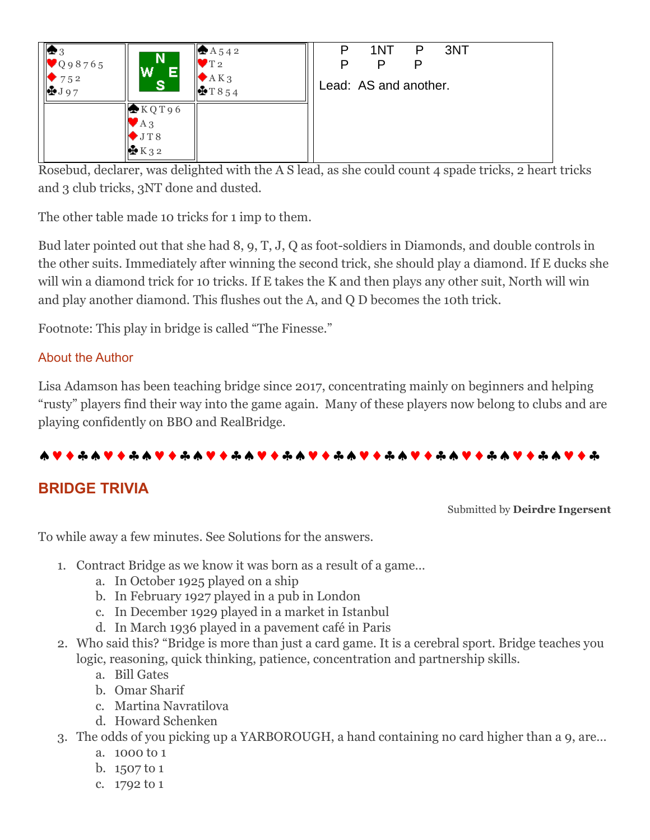| $\bullet$ 3<br>$\big \big $ Q 9 8 7 6 5<br>752<br>$\frac{1}{2}$ J 97 | N.<br>W<br>Е<br><b>ST</b>                           | $AA$ 542<br>T <sub>2</sub><br>A K <sub>3</sub><br>$+T854$ | P<br>P | 1NT<br>P<br>Lead: AS and another. | P | 3NT |  |
|----------------------------------------------------------------------|-----------------------------------------------------|-----------------------------------------------------------|--------|-----------------------------------|---|-----|--|
|                                                                      | KQT96<br>$AA_3$<br>$\blacktriangleright$ JT8<br>K32 |                                                           |        |                                   |   |     |  |

Rosebud, declarer, was delighted with the A S lead, as she could count 4 spade tricks, 2 heart tricks and 3 club tricks, 3NT done and dusted.

The other table made 10 tricks for 1 imp to them.

Bud later pointed out that she had 8, 9, T, J, Q as foot-soldiers in Diamonds, and double controls in the other suits. Immediately after winning the second trick, she should play a diamond. If E ducks she will win a diamond trick for 10 tricks. If E takes the K and then plays any other suit, North will win and play another diamond. This flushes out the A, and Q D becomes the 10th trick.

Footnote: This play in bridge is called "The Finesse."

## About the Author

Lisa Adamson has been teaching bridge since 2017, concentrating mainly on beginners and helping "rusty" players find their way into the game again. Many of these players now belong to clubs and are playing confidently on BBO and RealBridge.

#### 

# **BRIDGE TRIVIA**

Submitted by **Deirdre Ingersent**

To while away a few minutes. See Solutions for the answers.

- 1. Contract Bridge as we know it was born as a result of a game…
	- a. In October 1925 played on a ship
	- b. In February 1927 played in a pub in London
	- c. In December 1929 played in a market in Istanbul
	- d. In March 1936 played in a pavement café in Paris
- 2. Who said this? "Bridge is more than just a card game. It is a cerebral sport. Bridge teaches you logic, reasoning, quick thinking, patience, concentration and partnership skills.
	- a. Bill Gates
	- b. Omar Sharif
	- c. Martina Navratilova
	- d. Howard Schenken
- 3. The odds of you picking up a YARBOROUGH, a hand containing no card higher than a 9, are…
	- a. 1000 to 1
	- b. 1507 to 1
	- c. 1792 to 1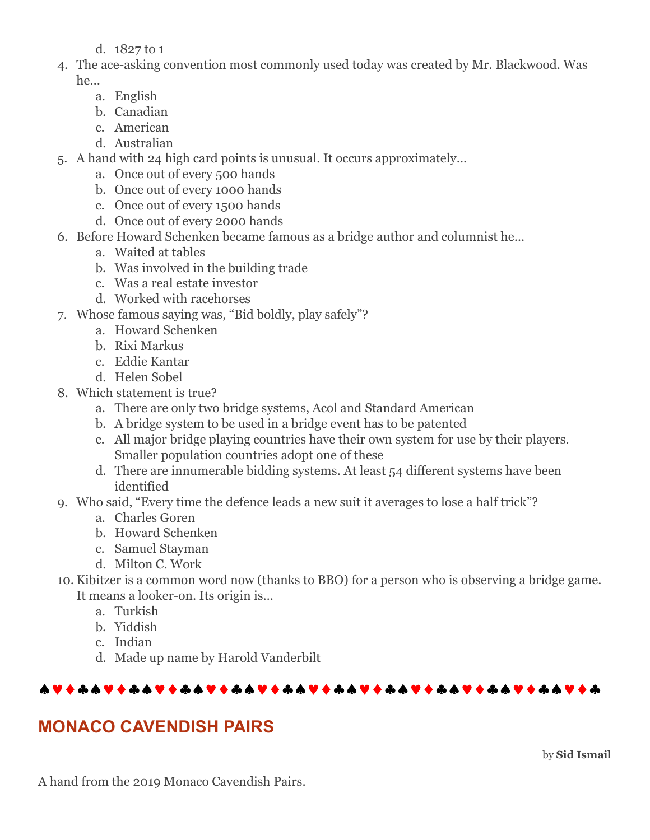d. 1827 to 1

- 4. The ace-asking convention most commonly used today was created by Mr. Blackwood. Was he…
	- a. English
	- b. Canadian
	- c. American
	- d. Australian
- 5. A hand with 24 high card points is unusual. It occurs approximately…
	- a. Once out of every 500 hands
	- b. Once out of every 1000 hands
	- c. Once out of every 1500 hands
	- d. Once out of every 2000 hands
- 6. Before Howard Schenken became famous as a bridge author and columnist he…
	- a. Waited at tables
	- b. Was involved in the building trade
	- c. Was a real estate investor
	- d. Worked with racehorses
- 7. Whose famous saying was, "Bid boldly, play safely"?
	- a. Howard Schenken
	- b. Rixi Markus
	- c. Eddie Kantar
	- d. Helen Sobel
- 8. Which statement is true?
	- a. There are only two bridge systems, Acol and Standard American
	- b. A bridge system to be used in a bridge event has to be patented
	- c. All major bridge playing countries have their own system for use by their players. Smaller population countries adopt one of these
	- d. There are innumerable bidding systems. At least 54 different systems have been identified
- 9. Who said, "Every time the defence leads a new suit it averages to lose a half trick"?
	- a. Charles Goren
	- b. Howard Schenken
	- c. Samuel Stayman
	- d. Milton C. Work
- 10. Kibitzer is a common word now (thanks to BBO) for a person who is observing a bridge game. It means a looker-on. Its origin is…
	- a. Turkish
	- b. Yiddish
	- c. Indian
	- d. Made up name by Harold Vanderbilt

## 

# **MONACO CAVENDISH PAIRS**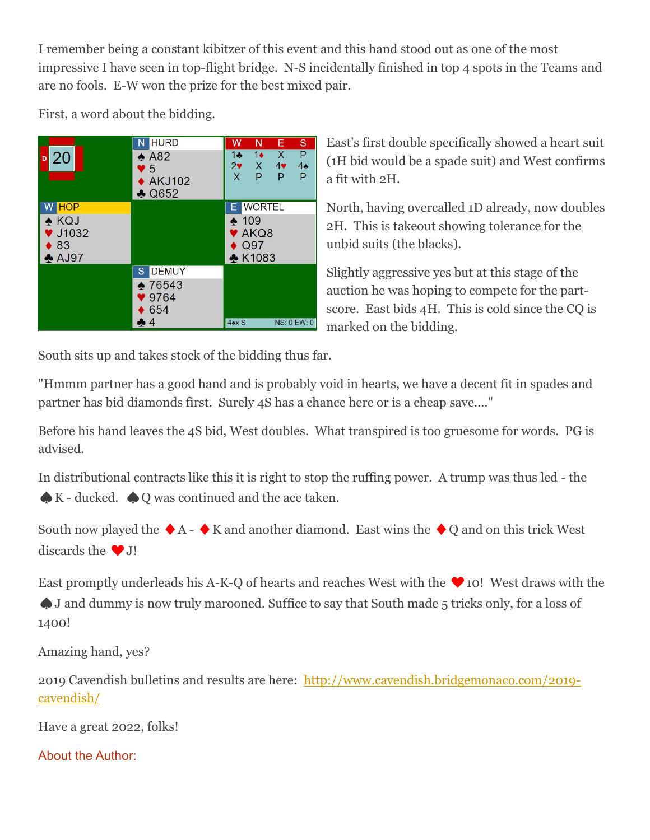I remember being a constant kibitzer of this event and this hand stood out as one of the most impressive I have seen in top-flight bridge. N-S incidentally finished in top 4 spots in the Teams and are no fools. E-W won the prize for the best mixed pair.

First, a word about the bidding.



East's first double specifically showed a heart suit (1H bid would be a spade suit) and West confirms a fit with 2H.

North, having overcalled 1D already, now doubles 2H. This is takeout showing tolerance for the unbid suits (the blacks).

Slightly aggressive yes but at this stage of the auction he was hoping to compete for the partscore. East bids 4H. This is cold since the CQ is marked on the bidding.

South sits up and takes stock of the bidding thus far.

"Hmmm partner has a good hand and is probably void in hearts, we have a decent fit in spades and partner has bid diamonds first. Surely 4S has a chance here or is a cheap save…."

Before his hand leaves the 4S bid, West doubles. What transpired is too gruesome for words. PG is advised.

In distributional contracts like this it is right to stop the ruffing power. A trump was thus led - the ♠K - ducked. ♠Q was continued and the ace taken.

South now played the  $\blacklozenge$  A -  $\blacklozenge$  K and another diamond. East wins the  $\blacklozenge$  Q and on this trick West discards the  $\bullet$  J!

East promptly underleads his A-K-Q of hearts and reaches West with the  $\blacktriangledown$  10! West draws with the ♠J and dummy is now truly marooned. Suffice to say that South made 5 tricks only, for a loss of 1400!

Amazing hand, yes?

2019 Cavendish bulletins and results are here: [http://www.cavendish.bridgemonaco.com/2019](http://www.cavendish.bridgemonaco.com/2019-cavendish/) [cavendish/](http://www.cavendish.bridgemonaco.com/2019-cavendish/)

Have a great 2022, folks!

About the Author: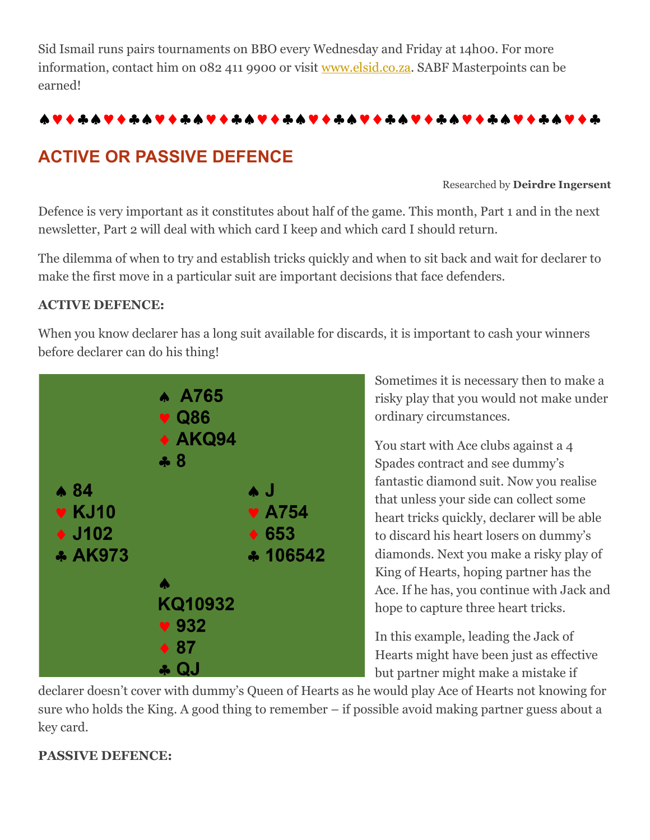Sid Ismail runs pairs tournaments on BBO every Wednesday and Friday at 14h00. For more information, contact him on 082 411 9900 or visit [www.elsid.co.za.](http://www.elsid.co.za/) SABF Masterpoints can be earned!

#### 

# **ACTIVE OR PASSIVE DEFENCE**

Researched by **Deirdre Ingersent**

Defence is very important as it constitutes about half of the game. This month, Part 1 and in the next newsletter, Part 2 will deal with which card I keep and which card I should return.

The dilemma of when to try and establish tricks quickly and when to sit back and wait for declarer to make the first move in a particular suit are important decisions that face defenders.

#### **ACTIVE DEFENCE:**

When you know declarer has a long suit available for discards, it is important to cash your winners before declarer can do his thing!



Sometimes it is necessary then to make a risky play that you would not make under ordinary circumstances.

You start with Ace clubs against a 4 Spades contract and see dummy's fantastic diamond suit. Now you realise that unless your side can collect some heart tricks quickly, declarer will be able to discard his heart losers on dummy's diamonds. Next you make a risky play of King of Hearts, hoping partner has the Ace. If he has, you continue with Jack and hope to capture three heart tricks.

In this example, leading the Jack of Hearts might have been just as effective but partner might make a mistake if

declarer doesn't cover with dummy's Queen of Hearts as he would play Ace of Hearts not knowing for sure who holds the King. A good thing to remember – if possible avoid making partner guess about a key card.

## **PASSIVE DEFENCE:**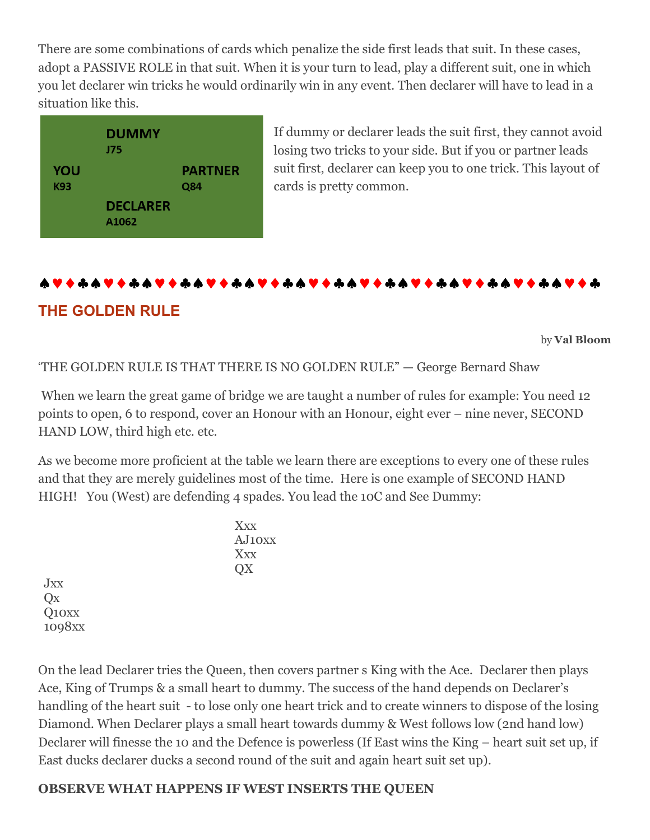There are some combinations of cards which penalize the side first leads that suit. In these cases, adopt a PASSIVE ROLE in that suit. When it is your turn to lead, play a different suit, one in which you let declarer win tricks he would ordinarily win in any event. Then declarer will have to lead in a situation like this.



If dummy or declarer leads the suit first, they cannot avoid losing two tricks to your side. But if you or partner leads suit first, declarer can keep you to one trick. This layout of cards is pretty common.

# **THE GOLDEN RULE**

by **Val Bloom**

'THE GOLDEN RULE IS THAT THERE IS NO GOLDEN RULE" — George Bernard Shaw

When we learn the great game of bridge we are taught a number of rules for example: You need 12 points to open, 6 to respond, cover an Honour with an Honour, eight ever – nine never, SECOND HAND LOW, third high etc. etc.

As we become more proficient at the table we learn there are exceptions to every one of these rules and that they are merely guidelines most of the time. Here is one example of SECOND HAND HIGH! You (West) are defending 4 spades. You lead the 10C and See Dummy:

Jxx Qx Q10xx 1098xx

On the lead Declarer tries the Queen, then covers partner s King with the Ace. Declarer then plays Ace, King of Trumps & a small heart to dummy. The success of the hand depends on Declarer's handling of the heart suit - to lose only one heart trick and to create winners to dispose of the losing Diamond. When Declarer plays a small heart towards dummy & West follows low (2nd hand low) Declarer will finesse the 10 and the Defence is powerless (If East wins the King – heart suit set up, if East ducks declarer ducks a second round of the suit and again heart suit set up).

## **OBSERVE WHAT HAPPENS IF WEST INSERTS THE QUEEN**

Xxx  $A$ **J**<sub>10xx</sub> Xxx QX